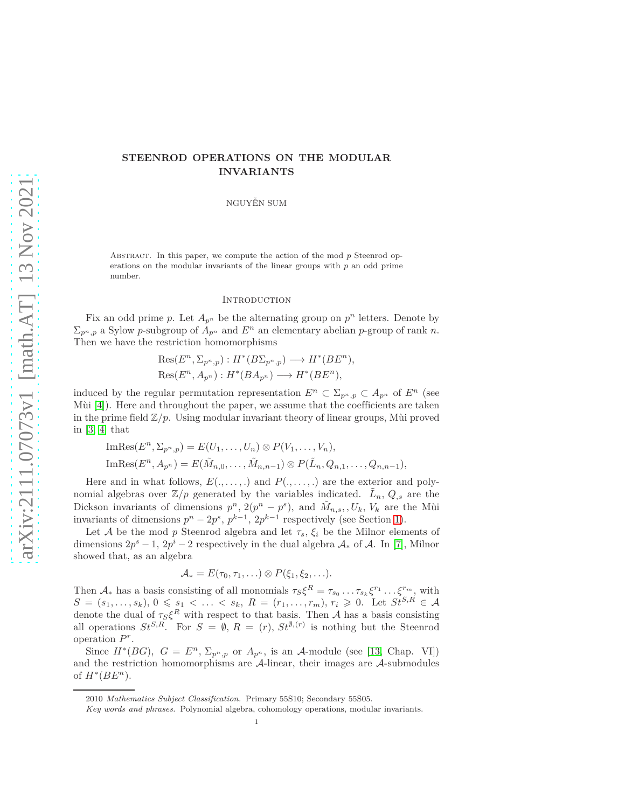# **STEENROD OPERATIONS ON THE MODULAR INVARIANTS**

NGUYỄN SUM

ABSTRACT. In this paper, we compute the action of the mod p Steenrod operations on the modular invariants of the linear groups with *p* an odd prime number.

### **INTRODUCTION**

Fix an odd prime p. Let  $A_{p^n}$  be the alternating group on  $p^n$  letters. Denote by  $\Sigma_{p^n,p}$  a Sylow *p*-subgroup of  $A_{p^n}$  and  $E^n$  an elementary abelian *p*-group of rank *n*. Then we have the restriction homomorphisms

$$
Res(E^n, \Sigma_{p^n, p}) : H^*(B\Sigma_{p^n, p}) \longrightarrow H^*(BE^n),
$$
  

$$
Res(E^n, A_{p^n}) : H^*(BA_{p^n}) \longrightarrow H^*(BE^n),
$$

induced by the regular permutation representation  $E^n \subset \sum_{p^n,p} \subset A_{p^n}$  of  $E^n$  (see Mùi [\[4\]](#page-9-0)). Here and throughout the paper, we assume that the coefficients are taken in the prime field  $\mathbb{Z}/p$ . Using modular invariant theory of linear groups, Mu proved in [\[3,](#page-9-1) [4\]](#page-9-0) that

$$
\text{ImRes}(E^n, \Sigma_{p^n, p}) = E(U_1, \dots, U_n) \otimes P(V_1, \dots, V_n),
$$
  
\n
$$
\text{ImRes}(E^n, A_{p^n}) = E(\tilde{M}_{n,0}, \dots, \tilde{M}_{n,n-1}) \otimes P(\tilde{L}_n, Q_{n,1}, \dots, Q_{n,n-1}),
$$

Here and in what follows,  $E(., \ldots, .)$  and  $P(., \ldots, .)$  are the exterior and polynomial algebras over  $\mathbb{Z}/p$  generated by the variables indicated.  $\tilde{L}_n$ ,  $Q_{,s}$  are the Dickson invariants of dimensions  $p^n$ ,  $2(p^n - p^s)$ , and  $\tilde{M}_{n,s}$ ,  $U_k$ ,  $V_k$  are the Mui invariants of dimensions  $p^{n} - 2p^{s}$ ,  $p^{k-1}$ ,  $2p^{k-1}$  respectively (see Section [1\)](#page-1-0).

Let A be the mod *p* Steenrod algebra and let  $\tau_s$ ,  $\xi_i$  be the Milnor elements of dimensions  $2p^s - 1$ ,  $2p^i - 2$  respectively in the dual algebra  $\mathcal{A}_*$  of  $\mathcal{A}$ . In [\[7\]](#page-9-2), Milnor showed that, as an algebra

$$
\mathcal{A}_* = E(\tau_0, \tau_1, \ldots) \otimes P(\xi_1, \xi_2, \ldots).
$$

Then  $\mathcal{A}_*$  has a basis consisting of all monomials  $\tau_S \xi^R = \tau_{s_0} \dots \tau_{s_k} \xi^{r_1} \dots \xi^{r_m}$ , with  $S = (s_1, \ldots, s_k), 0 \leqslant s_1 < \ldots < s_k, R = (r_1, \ldots, r_m), r_i \geqslant 0.$  Let  $St^{S,R} \in \mathcal{A}$ denote the dual of  $\tau_S \xi^R$  with respect to that basis. Then A has a basis consisting all operations  $St^{S,R}$ . For  $S = \emptyset$ ,  $R = (r)$ ,  $St^{\emptyset,(r)}$  is nothing but the Steenrod operation *P r* .

Since  $H^*(BG)$ ,  $G = E^n$ ,  $\Sigma_{p^n,p}$  or  $A_{p^n}$ , is an A-module (see [\[13,](#page-10-0) Chap. VI]) and the restriction homomorphisms are A-linear, their images are A-submodules of  $H^*(BE^n)$ .

<sup>2010</sup> *Mathematics Subject Classification.* Primary 55S10; Secondary 55S05.

*Key words and phrases.* Polynomial algebra, cohomology operations, modular invariants.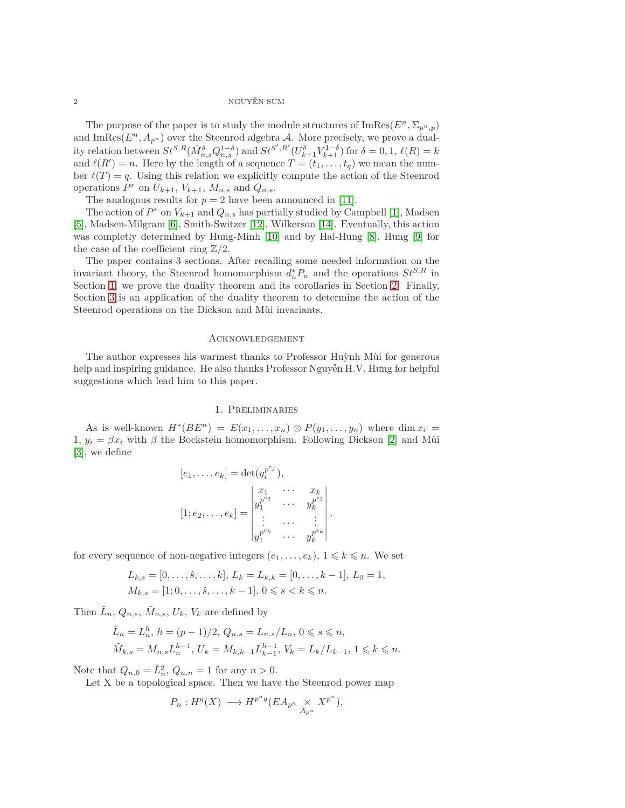#### 2 NGUYỄN SUM

The purpose of the paper is to study the module structures of  $\text{ImRes}(E^n, \Sigma_{p^n}, p)$ and ImRes $(E^n, A_{p^n})$  over the Steenrod algebra A. More precisely, we prove a duality relation between  $St^{S,R}(\tilde{M}_{n,s}^{\delta}Q_{n,s}^{1-\delta})$  and  $St^{S',R'}(U_{k+1}^{\delta}V_{k+1}^{1-\delta})$  for  $\delta=0,1, \ell(R)=k$ and  $\ell(R') = n$ . Here by the length of a sequence  $T = (t_1, \ldots, t_q)$  we mean the number  $\ell(T) = q$ . Using this relation we explicitly compute the action of the Steenrod operations  $P^r$  on  $U_{k+1}$ ,  $V_{k+1}$ ,  $M_{n,s}$  and  $Q_{n,s}$ .

The analogous results for  $p = 2$  have been announced in [\[11\]](#page-9-3).

The action of  $P^r$  on  $V_{k+1}$  and  $Q_{n,s}$  has partially studied by Campbell [\[1\]](#page-9-4), Madsen [\[5\]](#page-9-5), Madsen-Milgram [\[6\]](#page-9-6), Smith-Switzer [\[12\]](#page-10-1), Wilkerson [\[14\]](#page-10-2). Eventually, this action was completly determined by Hung-Minh [\[10\]](#page-9-7) and by Hai-Hung [\[8\]](#page-9-8), Hung [\[9\]](#page-9-9) for the case of the coefficient ring  $\mathbb{Z}/2$ .

The paper contains 3 sections. After recalling some needed information on the invariant theory, the Steenrod homomorphism  $d_n^* P_n$  and the operations  $St^{S,R}$  in Section [1,](#page-1-0) we prove the duality theorem and its corollaries in Section [2.](#page-2-0) Finally, Section [3](#page-4-0) is an application of the duality theorem to determine the action of the Steenrod operations on the Dickson and Mùi invariants.

#### Acknowledgement

The author expresses his warmest thanks to Professor Huỳnh Mùi for generous help and inspiring guidance. He also thanks Professor Nguyễn H.V. Hưng for helpful suggestions which lead him to this paper.

# 1. Preliminaries

<span id="page-1-0"></span>As is well-known  $H^*(BE^n) = E(x_1, \ldots, x_n) \otimes P(y_1, \ldots, y_n)$  where dim  $x_i =$ 1*,*  $y_i = \beta x_i$  with  $\beta$  the Bockstein homomorphism. Following Dickson [\[2\]](#page-9-10) and Mùi [\[3\]](#page-9-1), we define

$$
[e_1, \ldots, e_k] = \det(y_i^{p^{e_j}}),
$$
  
\n
$$
[1; e_2, \ldots, e_k] = \begin{vmatrix} x_1 & \cdots & x_k \\ y_1^{p^{e_2}} & \cdots & y_k^{p^{e_2}} \\ \vdots & \cdots & \vdots \\ y_1^{p^{e_k}} & \cdots & y_k^{p^{e_k}} \end{vmatrix}.
$$

for every sequence of non-negative integers  $(e_1, \ldots, e_k)$ ,  $1 \leq k \leq n$ . We set

$$
L_{k,s} = [0, \ldots, \hat{s}, \ldots, k], L_k = L_{k,k} = [0, \ldots, k-1], L_0 = 1,
$$
  

$$
M_{k,s} = [1; 0, \ldots, \hat{s}, \ldots, k-1], 0 \le s < k \le n.
$$

Then  $\tilde{L}_n$ ,  $Q_{n,s}$ ,  $\tilde{M}_{n,s}$ ,  $U_k$ ,  $V_k$  are defined by

$$
\tilde{L}_n = L_n^h, \ h = (p-1)/2, \ Q_{n,s} = L_{n,s}/L_n, \ 0 \le s \le n,
$$
  

$$
\tilde{M}_{k,s} = M_{n,s} L_n^{h-1}, \ U_k = M_{k,k-1} L_{k-1}^{h-1}, \ V_k = L_k/L_{k-1}, \ 1 \le k \le n.
$$

Note that  $Q_{n,0} = \tilde{L}_n^2$ ,  $Q_{n,n} = 1$  for any  $n > 0$ .

Let X be a topological space. Then we have the Steenrod power map

$$
P_n: H^q(X) \longrightarrow H^{p^nq}(EA_{p^n} \underset{A_{p^n}}{\times} X^{p^n}),
$$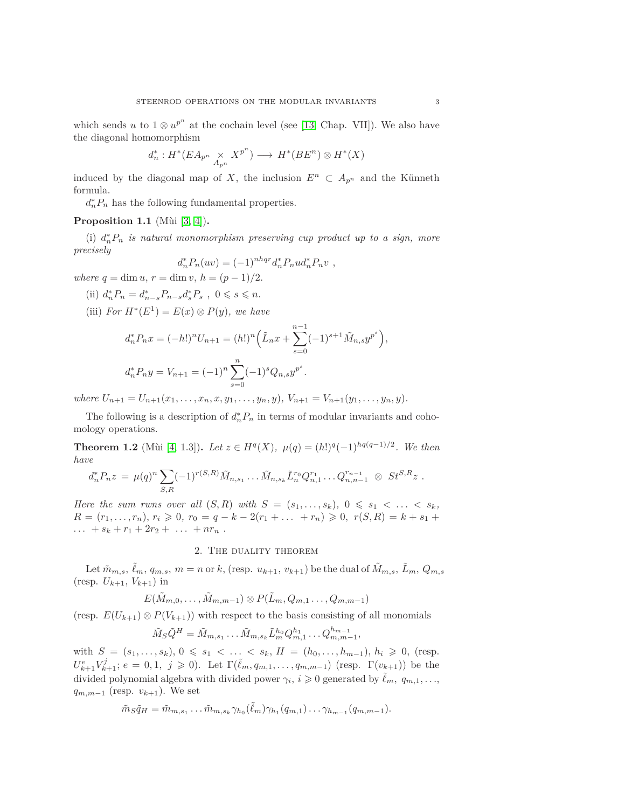which sends *u* to  $1 \otimes u^{p^n}$  at the cochain level (see [\[13,](#page-10-0) Chap. VII]). We also have the diagonal homomorphism

$$
d_n^*: H^*(EA_{p^n} \underset{A_{p^n}}{\times} X^{p^n}) \longrightarrow H^*(BE^n) \otimes H^*(X)
$$

induced by the diagonal map of *X*, the inclusion  $E^n \subset A_{p^n}$  and the Künneth formula.

 $d_n^* P_n$  has the following fundamental properties.

## <span id="page-2-1"></span>**Proposition 1.1** (Mùi [\[3,](#page-9-1) [4\]](#page-9-0))**.**

(i)  $d_n^* P_n$  *is natural monomorphism preserving cup product up to a sign, more precisely*

$$
d_n^* P_n(uv) = (-1)^{nhqr} d_n^* P_n u d_n^* P_n v ,
$$

*where*  $q = \dim u, r = \dim v, h = (p-1)/2.$ 

(ii) 
$$
d_n^* P_n = d_{n-s}^* P_{n-s} d_s^* P_s
$$
,  $0 \le s \le n$ .

(iii) *For*  $H^*(E^1) = E(x) \otimes P(y)$ *, we have* 

$$
d_n^* P_n x = (-h!)^n U_{n+1} = (h!)^n \left( \tilde{L}_n x + \sum_{s=0}^{n-1} (-1)^{s+1} \tilde{M}_{n,s} y^{p^s} \right),
$$
  

$$
d_n^* P_n y = V_{n+1} = (-1)^n \sum_{s=0}^n (-1)^s Q_{n,s} y^{p^s}.
$$

where  $U_{n+1} = U_{n+1}(x_1, \ldots, x_n, x, y_1, \ldots, y_n, y), V_{n+1} = V_{n+1}(y_1, \ldots, y_n, y).$ 

The following is a description of  $d_n^* P_n$  in terms of modular invariants and cohomology operations.

<span id="page-2-2"></span>**Theorem 1.2** (Mùi [\[4,](#page-9-0) 1.3]). *Let*  $z \in H^q(X)$ ,  $\mu(q) = (h!)^q(-1)^{hq(q-1)/2}$ . We then *have*

$$
d_n^* P_n z = \mu(q)^n \sum_{S,R} (-1)^{r(S,R)} \tilde{M}_{n,s_1} \dots \tilde{M}_{n,s_k} \tilde{L}_n^{r_0} Q_{n,1}^{r_1} \dots Q_{n,n-1}^{r_{n-1}} \otimes St^{S,R} z.
$$

*Here the sum rwns over all*  $(S, R)$  *with*  $S = (s_1, \ldots, s_k)$ ,  $0 \leq s_1 < \ldots < s_k$ , *R* =  $(r_1, ..., r_n)$ *,*  $r_i \ge 0$ *,*  $r_0 = q - k - 2(r_1 + ... + r_n) \ge 0$ *,*  $r(S, R) = k + s_1 +$  $\ldots$  +  $s_k$  +  $r_1$  +  $2r_2$  +  $\ldots$  +  $nr_n$ .

# 2. The duality theorem

<span id="page-2-0"></span>Let  $\tilde{m}_{m,s}, \tilde{\ell}_m, q_{m,s}, m = n$  or k, (resp.  $u_{k+1}, v_{k+1}$ ) be the dual of  $\tilde{M}_{m,s}, \tilde{L}_m, Q_{m,s}$  $(\text{resp. } U_{k+1}, V_{k+1})$  in

$$
E(\tilde{M}_{m,0},\ldots,\tilde{M}_{m,m-1})\otimes P(\tilde{L}_m,Q_{m,1}\ldots,Q_{m,m-1})
$$

(resp.  $E(U_{k+1}) \otimes P(V_{k+1})$ ) with respect to the basis consisting of all monomials

$$
\tilde{M}_{S}\tilde{Q}^{H} = \tilde{M}_{m,s_1} \dots \tilde{M}_{m,s_k} \tilde{L}_{m}^{h_0} Q_{m,1}^{h_1} \dots Q_{m,m-1}^{h_{m-1}},
$$

with  $S = (s_1, \ldots, s_k)$ ,  $0 \le s_1 < \ldots < s_k$ ,  $H = (h_0, \ldots, h_{m-1})$ ,  $h_i \ge 0$ , (resp.  $U_{k+1}^e V_{k+1}^j$ ;  $e = 0, 1, j \ge 0$ ). Let  $\Gamma(\tilde{\ell}_m, q_{m,1}, \ldots, q_{m,m-1})$  (resp.  $\Gamma(v_{k+1})$ ) be the divided polynomial algebra with divided power  $\gamma_i$ ,  $i \geq 0$  generated by  $\tilde{\ell}_m$ ,  $q_{m,1}, \ldots$ , *q*<sup>*m,m−1*</sub> (resp.  $v_{k+1}$ ). We set</sup>

$$
\tilde{m}_S \tilde{q}_H = \tilde{m}_{m,s_1} \dots \tilde{m}_{m,s_k} \gamma_{h_0}(\tilde{\ell}_m) \gamma_{h_1}(q_{m,1}) \dots \gamma_{h_{m-1}}(q_{m,m-1}).
$$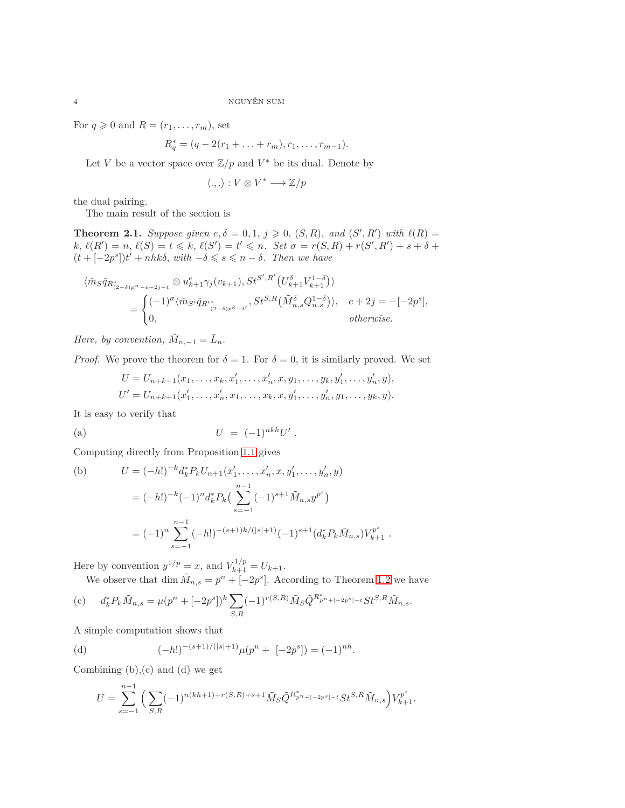For  $q \geq 0$  and  $R = (r_1, \ldots, r_m)$ , set

$$
R_q^* = (q - 2(r_1 + \ldots + r_m), r_1, \ldots, r_{m-1}).
$$

Let *V* be a vector space over  $\mathbb{Z}/p$  and  $V^*$  be its dual. Denote by

$$
\langle .,.\rangle: V\otimes V^*\longrightarrow \mathbb{Z}/p
$$

the dual pairing.

The main result of the section is

<span id="page-3-0"></span>**Theorem 2.1.** *Suppose given*  $e, \delta = 0, 1, j \ge 0$ ,  $(S, R)$ *, and*  $(S', R')$  *with*  $\ell(R) =$  $k, \ell(R') = n, \ell(S) = t \leq k, \ell(S') = t' \leq n$ . Set  $\sigma = r(S, R) + r(S', R') + s + \delta +$  $(t + [-2p<sup>s</sup>])t' + nhk\delta$ , with  $-\delta \leq s \leq n - \delta$ . Then we have

$$
\langle \tilde{m}_{S}\tilde{q}_{R_{(2-\delta)p^{n}-e-2j-t}^{*}} \otimes u_{k+1}^{e} \gamma_{j}(v_{k+1}), St^{S',R'}(U_{k+1}^{\delta}V_{k+1}^{1-\delta}) \rangle
$$
  
= 
$$
\begin{cases} (-1)^{\sigma} \langle \tilde{m}_{S'} \tilde{q}_{R'_{(2-\delta)p^{k}-t'}}, St^{S,R}(\tilde{M}_{n,s}^{\delta}Q_{n,s}^{1-\delta}) \rangle, & e+2j = -[-2p^{s}], \\ 0, & otherwise. \end{cases}
$$

*Here, by convention,*  $\tilde{M}_{n,-1} = \tilde{L}_n$ .

*Proof.* We prove the theorem for  $\delta = 1$ . For  $\delta = 0$ , it is similarly proved. We set

$$
U = U_{n+k+1}(x_1, \ldots, x_k, x'_1, \ldots, x'_n, x, y_1, \ldots, y_k, y'_1, \ldots, y'_n, y),
$$
  

$$
U' = U_{n+k+1}(x'_1, \ldots, x'_n, x_1, \ldots, x_k, x, y'_1, \ldots, y'_n, y_1, \ldots, y_k, y).
$$

It is easy to verify that

(a) 
$$
U = (-1)^{nkh}U'.
$$

Computing directly from Proposition [1.1](#page-2-1) gives

(b) 
$$
U = (-h!)^{-k} d_k^* P_k U_{n+1}(x'_1, \dots, x'_n, x, y'_1, \dots, y'_n, y)
$$

$$
= (-h!)^{-k} (-1)^n d_k^* P_k \left( \sum_{s=-1}^{n-1} (-1)^{s+1} \tilde{M}_{n,s} y^{p^s} \right)
$$

$$
= (-1)^n \sum_{s=-1}^{n-1} (-h!)^{-(s+1)k/(|s|+1)} (-1)^{s+1} (d_k^* P_k \tilde{M}_{n,s}) V_{k+1}^{p^s}.
$$

Here by convention  $y^{1/p} = x$ , and  $V_{k+1}^{1/p} = U_{k+1}$ .

We observe that  $\dim \widetilde{M}_{n,s} = p^n + [-2p^s]$ . According to Theorem [1.2](#page-2-2) we have

(c) 
$$
d_k^* P_k \tilde{M}_{n,s} = \mu (p^n + [-2p^s])^k \sum_{S,R} (-1)^{r(S,R)} \tilde{M}_S \tilde{Q}^{R_{p^n + [-2p^s] - t}} St^{S,R} \tilde{M}_{n,s}.
$$

A simple computation shows that

(d) 
$$
(-h!)^{-(s+1)/(|s|+1)}\mu(p^n + [-2p^s]) = (-1)^{nh}.
$$

Combining  $(b),(c)$  and  $(d)$  we get

$$
U = \sum_{s=-1}^{n-1} \left( \sum_{S,R} (-1)^{n(kh+1)+r(S,R)+s+1} \tilde{M}_S \tilde{Q}^{R_{p^n+[-2p^s]-t} S t^{S,R} \tilde{M}_{n,s}} \right) V_{k+1}^{p^s}.
$$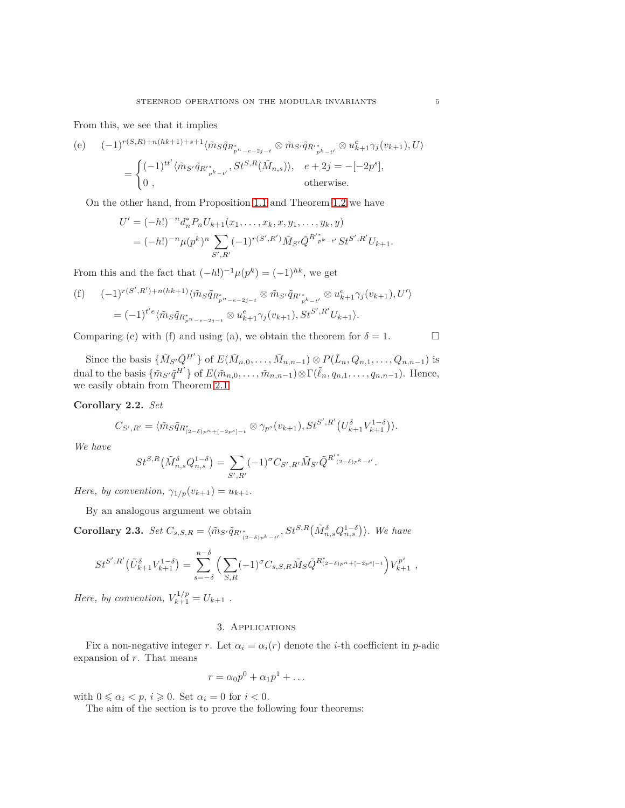From this, we see that it implies

(e) 
$$
(-1)^{r(S,R)+n(hk+1)+s+1} \langle \tilde{m}_S \tilde{q}_{R_{p^n-e-2j-t}^*} \otimes \tilde{m}_{S'} \tilde{q}_{R'_{p^k-t'}} \otimes u_{k+1}^e \gamma_j(v_{k+1}), U \rangle
$$
  
= 
$$
\begin{cases} (-1)^{tt'} \langle \tilde{m}_{S'} \tilde{q}_{R'_{p^k-t'}}, St^{S,R}(\tilde{M}_{n,s}) \rangle, & e+2j = -[-2p^s], \\ 0, & \text{otherwise.} \end{cases}
$$

On the other hand, from Proposition [1.1](#page-2-1) and Theorem [1.2](#page-2-2) we have

$$
U' = (-h!)^{-n} d_n^* P_n U_{k+1}(x_1, ..., x_k, x, y_1, ..., y_k, y)
$$
  
=  $(-h!)^{-n} \mu(p^k)^n \sum_{S', R'} (-1)^{r(S', R')} \tilde{M}_{S'} \tilde{Q}^{R'}_{p^k - t'} S t^{S', R'} U_{k+1}.$ 

From this and the fact that  $(-h!)^{-1} \mu(p^k) = (-1)^{hk}$ , we get

(f) 
$$
(-1)^{r(S',R')+n(hk+1)} \langle \tilde{m}_S \tilde{q}_{R_{p^n-e-2j-t}^*} \otimes \tilde{m}_{S'} \tilde{q}_{R'_{p^k-t'}} \otimes u_{k+1}^e \gamma_j(v_{k+1}), U' \rangle
$$
  
= 
$$
(-1)^{t'e} \langle \tilde{m}_S \tilde{q}_{R_{p^n-e-2j-t}^*} \otimes u_{k+1}^e \gamma_j(v_{k+1}), St^{S',R'} U_{k+1} \rangle.
$$

Comparing (e) with (f) and using (a), we obtain the theorem for  $\delta = 1$ .

Since the basis  $\{\tilde{M}_S\tilde{Q}^{H'}\}$  of  $E(\tilde{M}_{n,0},\ldots,\tilde{M}_{n,n-1})\otimes P(\tilde{L}_n,Q_{n,1},\ldots,Q_{n,n-1})$  is dual to the basis  $\{\tilde{m}_{S'}\tilde{q}^{H'}\}$  of  $E(\tilde{m}_{n,0},\ldots,\tilde{m}_{n,n-1})\otimes \Gamma(\tilde{\ell}_n,q_{n,1},\ldots,q_{n,n-1})$ . Hence, we easily obtain from Theorem [2.1](#page-3-0)

<span id="page-4-2"></span>**Corollary 2.2.** *Set*

$$
C_{S',R'} = \langle \tilde{m}_S \tilde{q}_{R^*_{(2-\delta)p^n + [-2p^s] - t}} \otimes \gamma_{p^s}(v_{k+1}), St^{S',R'}(U^{\delta}_{k+1}V^{1-\delta}_{k+1}) \rangle.
$$

*We have*

$$
St^{S,R}(\tilde{M}_{n,s}^{\delta}Q_{n,s}^{1-\delta}) = \sum_{S',R'} (-1)^{\sigma} C_{S',R'} \tilde{M}_{S'} \tilde{Q}^{R'^*_{(2-\delta)p^k-t'}}
$$

*.*

*Here, by convention,*  $\gamma_{1/p}(v_{k+1}) = u_{k+1}$ .

By an analogous argument we obtain

<span id="page-4-1"></span>**Corollary 2.3.** Set  $C_{s,S,R} = \langle \tilde{m}_{S'} \tilde{q}_{R''} \rangle_{(2-\delta)p^{k}-t'}^s, St^{S,R}(\tilde{M}_{n,s}^{\delta} Q_{n,s}^{1-\delta})\rangle$ . We have

$$
St^{S',R'}(\tilde{U}_{k+1}^{\delta}V_{k+1}^{1-\delta}) = \sum_{s=-\delta}^{n-\delta} \left( \sum_{S,R} (-1)^{\sigma} C_{s,S,R} \tilde{M}_S \tilde{Q}^{R_{(2-\delta)p^n + (-2p^s] - t}^s} \right) V_{k+1}^{p^s} ,
$$

<span id="page-4-0"></span>*Here, by convention,*  $V_{k+1}^{1/p} = U_{k+1}$ .

### 3. Applications

Fix a non-negative integer *r*. Let  $\alpha_i = \alpha_i(r)$  denote the *i*-th coefficient in *p*-adic expansion of *r*. That means

$$
r = \alpha_0 p^0 + \alpha_1 p^1 + \dots
$$

with  $0 \le \alpha_i \le p$ ,  $i \ge 0$ . Set  $\alpha_i = 0$  for  $i < 0$ .

The aim of the section is to prove the following four theorems: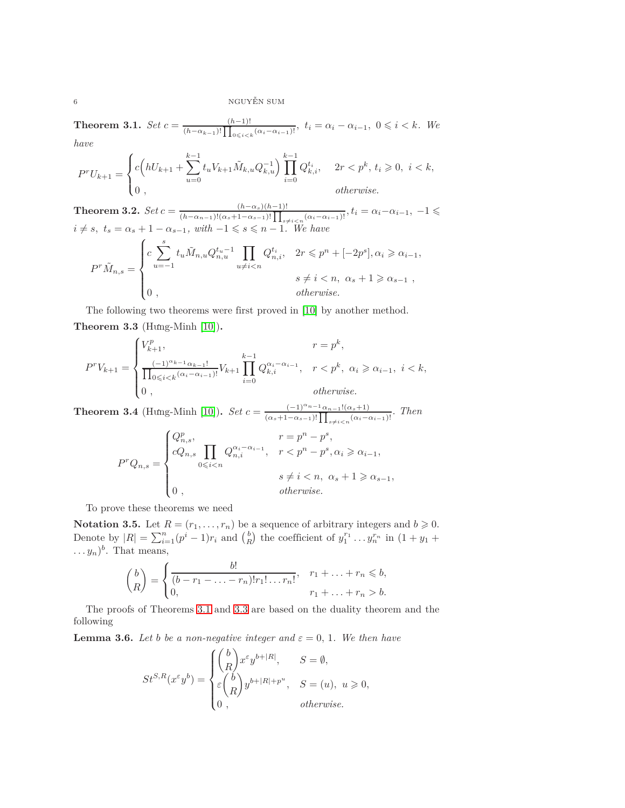<span id="page-5-0"></span>**Theorem 3.1.** *Set*  $c = \frac{(h-1)!}{(h-n)!}$  $\frac{(h-1)!}{(h-\alpha_{k-1})!} \prod_{0 \leq i < k}^{\infty} \frac{(a_i-a_{i-1})!}{(a_i-a_{i-1})!}, t_i = \alpha_i - \alpha_{i-1}, 0 \leq i < k.$  We

*have*

$$
P^r U_{k+1} = \begin{cases} c \Big( h U_{k+1} + \sum_{u=0}^{k-1} t_u V_{k+1} \tilde{M}_{k,u} Q_{k,u}^{-1} \Big) \prod_{i=0}^{k-1} Q_{k,i}^{t_i}, & 2r < p^k, t_i \geq 0, \ i < k, \\ 0, & \text{otherwise.} \end{cases}
$$

<span id="page-5-4"></span>**Theorem 3.2.**  $Set c = \frac{(h-\alpha_s)(h-1)!}{(h-s)(h-1)!}$  $\frac{(h-\alpha_s)(h-1)!}{(h-\alpha_{n-1})!(\alpha_s+1-\alpha_{s-1})!}\prod_{s\neq i\leq n}(\alpha_i-\alpha_{i-1})!}, t_i=\alpha_i-\alpha_{i-1}, -1 \leq$  $i \neq s, t_s = \alpha_s + 1 - \alpha_{s-1}, \text{ with } -1 \leqslant s \leqslant n-1.$  We have  $P^r \tilde{M}_{n,s} =$  $\sqrt{ }$  $\int$  $\overline{\mathcal{L}}$  $c \sum_{i=1}^{s}$ *u*=−1  $t_u \tilde{M}_{n,u} Q_{n,u}^{t_u-1}$   $\prod$  $u \neq i < n$  $Q_{n,i}^{t_i}, \quad 2r \leq p^n + [-2p^s], \alpha_i \geq \alpha_{i-1},$  $s \neq i < n, \ \alpha_s + 1 \geq \alpha_{s-1}$ 0 *, otherwise.*

<span id="page-5-1"></span>The following two theorems were first proved in [\[10\]](#page-9-7) by another method. **Theorem 3.3** (Hưng-Minh [\[10\]](#page-9-7))**.**

$$
P^r V_{k+1} = \begin{cases} V_{k+1}^p, & r = p^k, \\ \frac{(-1)^{\alpha_{k-1}} \alpha_{k-1}!}{\prod_{0 \le i < k} (\alpha_i - \alpha_{i-1})!} V_{k+1} \prod_{i=0}^{k-1} Q_{k,i}^{\alpha_i - \alpha_{i-1}}, & r < p^k, \ \alpha_i \ge \alpha_{i-1}, \ i < k, \\ 0, & \text{otherwise.} \end{cases}
$$

<span id="page-5-5"></span>**Theorem 3.4** (Hưng-Minh [\[10\]](#page-9-7))**.** *Set*  $c = \frac{(-1)^{\alpha_{n-1}}\alpha_{n-1}!(\alpha_s+1)}{(\alpha_s+1)^{1+1}[(\alpha_s+1)^{1+1}]^2}$  $\frac{(-1)^{-n-1} \alpha_{n-1}! (\alpha_s+1)}{(\alpha_s+1-\alpha_{s-1})! \prod_{s \neq i < n} (\alpha_i-\alpha_{i-1})!}$ . Then

$$
P^r Q_{n,s} = \begin{cases} Q_{n,s}^p, & r = p^n - p^s, \\ cQ_{n,s} \prod_{0 \le i < n} Q_{n,i}^{\alpha_i - \alpha_{i-1}}, & r < p^n - p^s, \alpha_i \ge \alpha_{i-1}, \\ & s \ne i < n, \ \alpha_s + 1 \ge \alpha_{s-1}, \\ 0, & \text{otherwise.} \end{cases}
$$

To prove these theorems we need

<span id="page-5-3"></span>**Notation 3.5.** Let  $R = (r_1, \ldots, r_n)$  be a sequence of arbitrary integers and  $b \ge 0$ . Denote by  $|R| = \sum_{i=1}^{n} (p^i - 1)r_i$  and  $\binom{b}{R}$  the coefficient of  $y_1^{r_1} \ldots y_n^{r_n}$  in  $(1 + y_1 +$  $\dots y_n)^b$ . That means,

$$
\binom{b}{R} = \begin{cases} \frac{b!}{(b-r_1-\ldots-r_n)!r_1!\ldots r_n!}, & r_1+\ldots+r_n \leq b, \\ 0, & r_1+\ldots+r_n > b. \end{cases}
$$

The proofs of Theorems [3.1](#page-5-0) and [3.3](#page-5-1) are based on the duality theorem and the following

<span id="page-5-2"></span>**Lemma 3.6.** *Let b be a non-negative integer and*  $\varepsilon = 0, 1$ *. We then have* 

$$
St^{S,R}(x^{\varepsilon}y^b) = \begin{cases} \binom{b}{R} x^{\varepsilon}y^{b+|R|}, & S = \emptyset, \\ \varepsilon \binom{b}{R} y^{b+|R|+p^u}, & S = (u), u \geqslant 0, \\ 0, & otherwise. \end{cases}
$$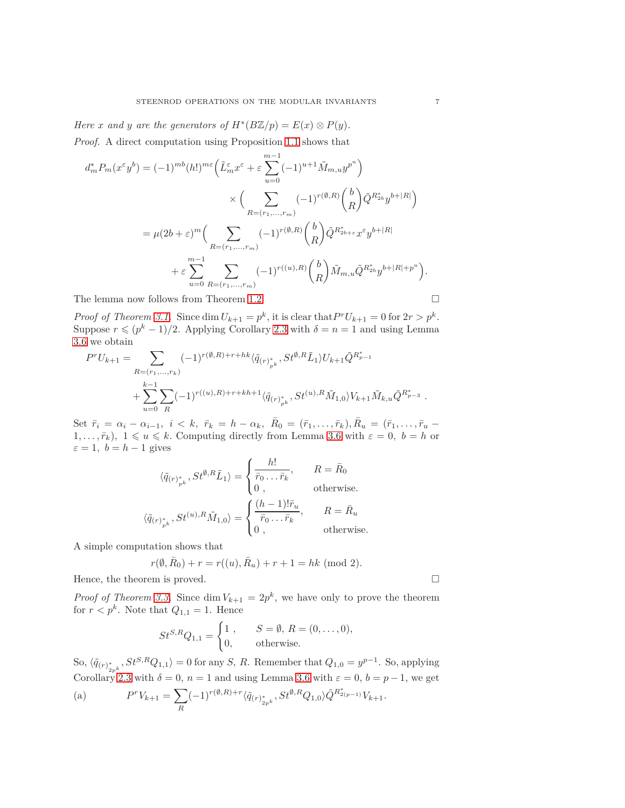*Here x* and *y* are the generators of  $H^*(B\mathbb{Z}/p) = E(x) \otimes P(y)$ . *Proof.* A direct computation using Proposition [1.1](#page-2-1) shows that

$$
d_m^* P_m(x^{\varepsilon} y^b) = (-1)^{mb} (h!)^{m\varepsilon} \left( \tilde{L}_m^{\varepsilon} x^{\varepsilon} + \varepsilon \sum_{u=0}^{m-1} (-1)^{u+1} \tilde{M}_{m,u} y^{p^u} \right)
$$
  

$$
\times \left( \sum_{R=(r_1,...,r_m)} (-1)^{r(\emptyset,R)} {b \choose R} \tilde{Q}^{R_{2b}^* y^{b+|R|}} \right)
$$
  

$$
= \mu (2b + \varepsilon)^m \left( \sum_{R=(r_1,...,r_m)} (-1)^{r(\emptyset,R)} {b \choose R} \tilde{Q}^{R_{2b+\varepsilon}^* x^{\varepsilon} y^{b+|R|}} + \varepsilon \sum_{u=0}^{m-1} \sum_{R=(r_1,...,r_m)} (-1)^{r((u),R)} {b \choose R} \tilde{M}_{m,u} \tilde{Q}^{R_{2b}^* y^{b+|R|+p^u}} \right).
$$

The lemma now follows from Theorem [1.2.](#page-2-2)

*Proof of Theorem [3.1.](#page-5-0)* Since  $\dim U_{k+1} = p^k$ , it is clear that  $P^rU_{k+1} = 0$  for  $2r > p^k$ . Suppose  $r \leq (p^k - 1)/2$ . Applying Corollary [2.3](#page-4-1) with  $\delta = n = 1$  and using Lemma [3.6](#page-5-2) we obtain

$$
P^r U_{k+1} = \sum_{\substack{R=(r_1,\ldots,r_k) \\ k-1}} (-1)^{r(\emptyset,R)+r+hk} \langle \tilde{q}_{(r)_{p^k}^*}, St^{\emptyset,R} \tilde{L}_1 \rangle U_{k+1} \tilde{Q}^{R_{p-1}^*} + \sum_{u=0}^{k-1} \sum_{R} (-1)^{r((u),R)+r+kh+1} \langle \tilde{q}_{(r)_{p^k}^*}, St^{(u),R} \tilde{M}_{1,0} \rangle V_{k+1} \tilde{M}_{k,u} \tilde{Q}^{R_{p-3}^*}.
$$

Set  $\bar{r}_i = \alpha_i - \alpha_{i-1}, i \leq k, \ \bar{r}_k = h - \alpha_k, \ \bar{R}_0 = (\bar{r}_1, \ldots, \bar{r}_k), \bar{R}_u = (\bar{r}_1, \ldots, \bar{r}_u 1, \ldots, \bar{r}_k$ ,  $1 \leq u \leq k$ . Computing directly from Lemma [3.6](#page-5-2) with  $\varepsilon = 0$ ,  $b = h$  or  $\varepsilon = 1$ ,  $b = h - 1$  gives

$$
\langle \tilde{q}_{(r)^*_{pk}}^*, St^{\emptyset, R} \tilde{L}_1 \rangle = \begin{cases} \frac{h!}{\bar{r}_0 \dots \bar{r}_k}, & R = \bar{R}_0 \\ 0, & \text{otherwise.} \end{cases}
$$
  

$$
\langle \tilde{q}_{(r)^*_{pk}}^*, St^{(u), R} \tilde{M}_{1,0} \rangle = \begin{cases} \frac{(h-1)! \bar{r}_u}{\bar{r}_0 \dots \bar{r}_k}, & R = \bar{R}_u \\ 0, & \text{otherwise.} \end{cases}
$$

A simple computation shows that

$$
r(\emptyset, \bar{R}_0) + r = r((u), \bar{R}_u) + r + 1 = hk \pmod{2}.
$$

Hence, the theorem is proved.  $\hfill \square$ 

*Proof of Theorem [3.3.](#page-5-1)* Since dim  $V_{k+1} = 2p^k$ , we have only to prove the theorem for  $r < p^k$ . Note that  $Q_{1,1} = 1$ . Hence

$$
St^{S,R}Q_{1,1} = \begin{cases} 1, & S = \emptyset, R = (0, ..., 0), \\ 0, & \text{otherwise.} \end{cases}
$$

So,  $\langle \tilde{q}_{(r)} \rangle^*_{2p^k}$ ,  $St^{S,R}Q_{1,1}$  = 0 for any *S*, *R*. Remember that  $Q_{1,0} = y^{p-1}$ . So, applying Corollary [2.3](#page-4-1) with  $\delta = 0$ ,  $n = 1$  and using Lemma [3.6](#page-5-2) with  $\varepsilon = 0$ ,  $b = p - 1$ , we get

(a) 
$$
P^r V_{k+1} = \sum_R (-1)^{r(\emptyset, R)+r} \langle \tilde{q}_{(r)} \rangle^*_{2p^k}, S t^{\emptyset, R} Q_{1,0} \rangle \tilde{Q}^{R^*_{2(p-1)}} V_{k+1}.
$$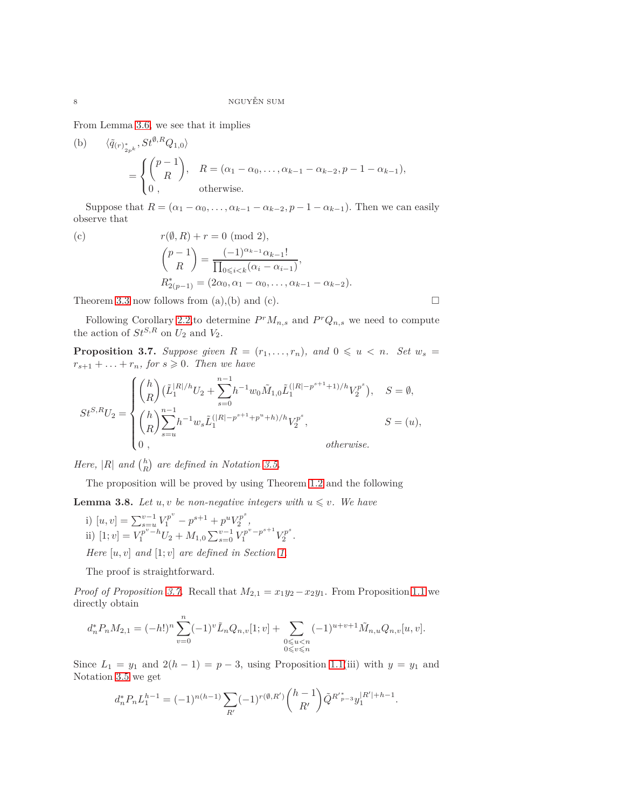From Lemma [3.6,](#page-5-2) we see that it implies

(b) 
$$
\langle \tilde{q}_{(r)} \rangle_{2p^k}^*, St^{\emptyset, R} Q_{1,0} \rangle
$$
  
= 
$$
\begin{cases} \binom{p-1}{R}, & R = (\alpha_1 - \alpha_0, \dots, \alpha_{k-1} - \alpha_{k-2}, p-1 - \alpha_{k-1}), \\ 0, & \text{otherwise.} \end{cases}
$$

Suppose that  $R = (\alpha_1 - \alpha_0, \dots, \alpha_{k-1} - \alpha_{k-2}, p-1 - \alpha_{k-1})$ . Then we can easily observe that

(c) 
$$
r(\emptyset, R) + r = 0 \pmod{2},
$$
  
\n $\binom{p-1}{R} = \frac{(-1)^{\alpha_{k-1}} \alpha_{k-1}!}{\prod_{0 \le i < k} (\alpha_i - \alpha_{i-1})},$   
\n $R_{2(p-1)}^* = (2\alpha_0, \alpha_1 - \alpha_0, \dots, \alpha_{k-1} - \alpha_{k-2}).$ 

Theorem [3.3](#page-5-1) now follows from (a),(b) and (c).  $\square$ 

Following Corollary [2.2,](#page-4-2) to determine  $P^r M_{n,s}$  and  $P^r Q_{n,s}$  we need to compute the action of  $St^{S,R}$  on  $U_2$  and  $V_2$ .

<span id="page-7-0"></span>**Proposition 3.7.** *Suppose given*  $R = (r_1, \ldots, r_n)$ *, and*  $0 \leq u \leq n$ *. Set*  $w_s =$  $r_{s+1} + \ldots + r_n$ , for  $s \geq 0$ . Then we have

$$
St^{S,R}U_2 = \begin{cases} \binom{h}{R} (\tilde{L}_1^{|R|/h} U_2 + \sum_{s=0}^{n-1} h^{-1} w_0 \tilde{M}_{1,0} \tilde{L}_1^{(|R|-p^{s+1}+1)/h} V_2^{p^s}), & S = \emptyset, \\ \binom{h}{R} \sum_{s=u}^{n-1} h^{-1} w_s \tilde{L}_1^{(|R|-p^{s+1}+p^u+h)/h} V_2^{p^s}, & S = (u), \\ 0, & \text{otherwise.} \end{cases}
$$

*Here,*  $|R|$  *and*  $\binom{h}{R}$  *are defined in Notation [3.5.](#page-5-3)* 

The proposition will be proved by using Theorem [1.2](#page-2-2) and the following

<span id="page-7-1"></span>**Lemma 3.8.** Let  $u, v$  be non-negative integers with  $u \leq v$ . We have

i) 
$$
[u, v] = \sum_{s=u}^{v-1} V_1^{p^v} - p^{s+1} + p^u V_2^{p^s},
$$
  
ii)  $[1; v] = V_1^{p^v - h} U_2 + M_{1,0} \sum_{s=0}^{v-1} V_1^{p^s - p^{s+1}} V_2^{p^s}$ 

*Here* [*u, v*] *and* [1; *v*] *are defined in Section [1.](#page-1-0)*

The proof is straightforward.

*Proof of Proposition [3.7.](#page-7-0)* Recall that  $M_{2,1} = x_1y_2 - x_2y_1$ . From Proposition [1.1](#page-2-1) we directly obtain

*.*

$$
d_n^* P_n M_{2,1} = (-h!)^n \sum_{v=0}^n (-1)^v \tilde{L}_n Q_{n,v}[1;v] + \sum_{\substack{0 \le u \le n \\ 0 \le v \le n}} (-1)^{u+v+1} \tilde{M}_{n,u} Q_{n,v}[u,v].
$$

Since  $L_1 = y_1$  and  $2(h-1) = p-3$ , using Proposition [1.1\(](#page-2-1)iii) with  $y = y_1$  and Notation [3.5](#page-5-3) we get

$$
d_n^* P_n L_1^{h-1} = (-1)^{n(h-1)} \sum_{R'} (-1)^{r(\emptyset, R')} \binom{h-1}{R'} \tilde{Q}^{R'}_{p-3} y_1^{|R'|+h-1}.
$$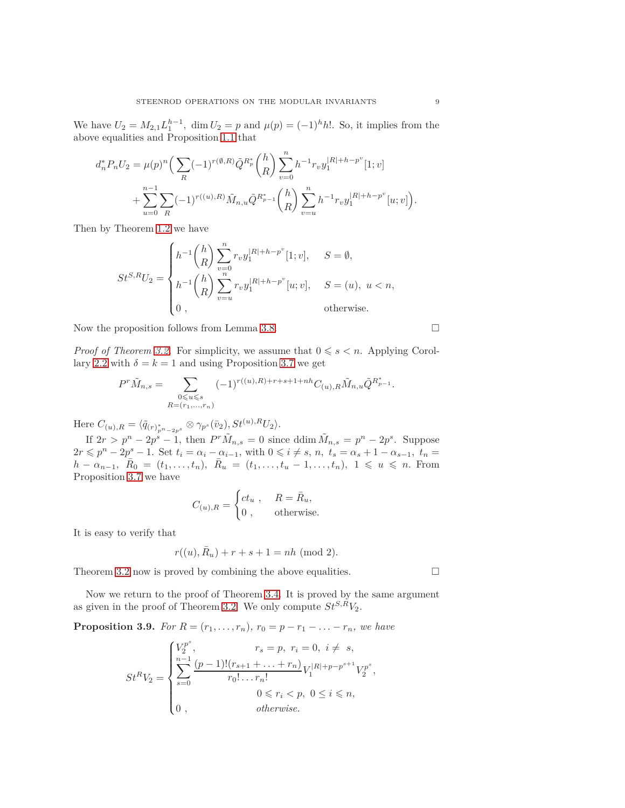We have  $U_2 = M_{2,1} L_1^{h-1}$ , dim  $U_2 = p$  and  $\mu(p) = (-1)^h h!$ . So, it implies from the above equalities and Proposition [1.1](#page-2-1) that

$$
d_n^* P_n U_2 = \mu(p)^n \Big( \sum_R (-1)^{r(\emptyset, R)} \tilde{Q}^{R_p^*} \binom{h}{R} \sum_{v=0}^n h^{-1} r_v y_1^{|R|+h-p^v} [1; v] + \sum_{u=0}^{n-1} \sum_R (-1)^{r((u), R)} \tilde{M}_{n,u} \tilde{Q}^{R_{p-1}^*} \binom{h}{R} \sum_{v=u}^n h^{-1} r_v y_1^{|R|+h-p^v} [u; v] \Big).
$$

Then by Theorem [1.2](#page-2-2) we have

$$
St^{S,R}U_2 = \begin{cases} h^{-1} \binom{h}{R} \sum_{v=0}^n r_v y_1^{|R|+h-p^v} [1;v], & S = \emptyset, \\ h^{-1} \binom{h}{R} \sum_{v=u}^n r_v y_1^{|R|+h-p^v} [u;v], & S = (u), \ u < n, \\ 0, & \text{otherwise.} \end{cases}
$$

Now the proposition follows from Lemma [3.8.](#page-7-1)

*Proof of Theorem [3.2.](#page-5-4)* For simplicity, we assume that  $0 \le s \le n$ . Applying Corol-lary [2.2](#page-4-2) with  $\delta = k = 1$  and using Proposition [3.7](#page-7-0) we get

$$
P^r\tilde{M}_{n,s} = \sum_{\substack{0 \leqslant u \leqslant s \\ R = (r_1, \ldots, r_n)}} (-1)^{r((u),R) + r + s + 1 + nh} C_{(u),R} \tilde{M}_{n,u} \tilde{Q}^{R_{p-1}^*}.
$$

Here  $C_{(u),R} = \langle \tilde{q}_{(r)} \rangle_{p^n - 2p^s}^* \otimes \gamma_{p^s}(\bar{v}_2), St^{(u),R}U_2 \rangle.$ 

If  $2r > p^n - 2p^s - 1$ , then  $P^r \tilde{M}_{n,s} = 0$  since ddim  $\tilde{M}_{n,s} = p^n - 2p^s$ . Suppose  $2r \leqslant p^{n} - 2p^{s} - 1$ . Set  $t_i = \alpha_i - \alpha_{i-1}$ , with  $0 \leqslant i \neq s$ ,  $n, t_s = \alpha_s + 1 - \alpha_{s-1}, t_n =$  $h - \alpha_{n-1}$ ,  $\overline{R}_0 = (t_1, \ldots, t_n)$ ,  $\overline{R}_u = (t_1, \ldots, t_u - 1, \ldots, t_n)$ ,  $1 \leq u \leq n$ . From Proposition [3.7](#page-7-0) we have

$$
C_{(u),R} = \begin{cases} ct_u, & R = \bar{R}_u, \\ 0, & \text{otherwise.} \end{cases}
$$

It is easy to verify that

$$
r((u), \bar{R}_u) + r + s + 1 = nh \; (mod \; 2).
$$

Theorem [3.2](#page-5-4) now is proved by combining the above equalities.  $\Box$ 

Now we return to the proof of Theorem [3.4.](#page-5-5) It is proved by the same argument as given in the proof of Theorem [3.2.](#page-5-4) We only compute  $St^{S,\tilde{R}}V_2$ .

**Proposition 3.9.** *For*  $R = (r_1, \ldots, r_n)$ *,*  $r_0 = p - r_1 - \ldots - r_n$ *, we have* 

$$
St^{R}V_{2} = \begin{cases} V_{2}^{p^{s}}, & r_{s} = p, r_{i} = 0, i \neq s, \\ \sum_{s=0}^{n-1} \frac{(p-1)!(r_{s+1} + \ldots + r_{n})}{r_{0}! \ldots r_{n}!} V_{1}^{|R|+p-p^{s+1}} V_{2}^{p^{s}}, \\ 0 \leq r_{i} < p, 0 \leq i \leq n, \\ 0, & \text{otherwise.} \end{cases}
$$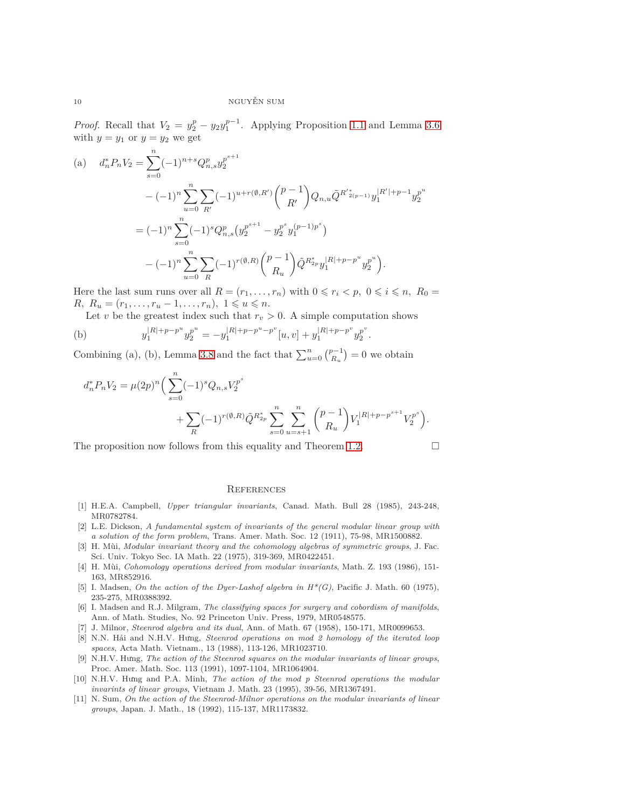*Proof.* Recall that  $V_2 = y_2^p - y_2 y_1^{p-1}$ . Applying Proposition [1.1](#page-2-1) and Lemma [3.6](#page-5-2) with  $y = y_1$  or  $y = y_2$  we get

(a) 
$$
d_n^* P_n V_2 = \sum_{s=0}^n (-1)^{n+s} Q_{n,s}^p y_2^{p^{s+1}}
$$
  
\n
$$
-(-1)^n \sum_{u=0}^n \sum_{R'} (-1)^{u+r(\emptyset,R')} \binom{p-1}{R'} Q_{n,u} \tilde{Q}^{R'\check{z}_{(p-1)}} y_1^{|R'|+p-1} y_2^{p^u}
$$
  
\n
$$
= (-1)^n \sum_{s=0}^n (-1)^s Q_{n,s}^p (y_2^{p^{s+1}} - y_2^{p^s} y_1^{(p-1)p^s})
$$
  
\n
$$
-(-1)^n \sum_{u=0}^n \sum_{R} (-1)^{r(\emptyset,R)} \binom{p-1}{R_u} \tilde{Q}^{R\check{z}_{p}} y_1^{|R|+p-p^u} y_2^{p^u}.
$$

Here the last sum runs over all  $R = (r_1, \ldots, r_n)$  with  $0 \le r_i < p, 0 \le i \le n, R_0 =$ *R,*  $R_u = (r_1, \ldots, r_u - 1, \ldots, r_n), \ 1 ≤ u ≤ n.$ 

Let *v* be the greatest index such that  $r_v > 0$ . A simple computation shows

(b) 
$$
y_1^{|R|+p-p^u}y_2^{p^u} = -y_1^{|R|+p-p^u-p^v}[u,v] + y_1^{|R|+p-p^v}y_2^{p^v}.
$$

Combining (a), (b), Lemma [3.8](#page-7-1) and the fact that  $\sum_{u=0}^{n} {p-1 \choose R_u}$  $\binom{p-1}{R_u} = 0$  we obtain

$$
d_n^* P_n V_2 = \mu(2p)^n \Big( \sum_{s=0}^n (-1)^s Q_{n,s} V_2^{p^s} + \sum_{R} (-1)^{r(\emptyset,R)} \tilde{Q}^{R_{2p}^*} \sum_{s=0}^n \sum_{u=s+1}^n {p-1 \choose R_u} V_1^{|R|+p-p^{s+1}} V_2^{p^s} \Big).
$$

The proposition now follows from this equality and Theorem [1.2.](#page-2-2)  $\Box$ 

## **REFERENCES**

- <span id="page-9-10"></span><span id="page-9-4"></span>[1] H.E.A. Campbell, *Upper triangular invariants*, Canad. Math. Bull 28 (1985), 243-248, MR0782784.
- [2] L.E. Dickson, *A fundamental system of invariants of the general modular linear group with a solution of the form problem*, Trans. Amer. Math. Soc. 12 (1911), 75-98, MR1500882.
- <span id="page-9-1"></span>[3] H. Mùi, *Modular invariant theory and the cohomology algebras of symmetric groups*, J. Fac. Sci. Univ. Tokyo Sec. IA Math. 22 (1975), 319-369, MR0422451.
- <span id="page-9-0"></span>[4] H. Mùi, *Cohomology operations derived from modular invariants*, Math. Z. 193 (1986), 151- 163, MR852916.
- <span id="page-9-5"></span>[5] I. Madsen, *On the action of the Dyer-Lashof algebra in H\*(G)*, Pacific J. Math. 60 (1975), 235-275, MR0388392.
- <span id="page-9-6"></span>[6] I. Madsen and R.J. Milgram, *The classifying spaces for surgery and cobordism of manifolds*, Ann. of Math. Studies, No. 92 Princeton Univ. Press, 1979, MR0548575.
- <span id="page-9-8"></span><span id="page-9-2"></span>[7] J. Milnor, *Steenrod algebra and its dual*, Ann. of Math. 67 (1958), 150-171, MR0099653.
- [8] N.N. Hải and N.H.V. Hưng, *Steenrod operations on mod 2 homology of the iterated loop spaces*, Acta Math. Vietnam., 13 (1988), 113-126, MR1023710.
- <span id="page-9-9"></span>[9] N.H.V. Hưng, *The action of the Steenrod squares on the modular invariants of linear groups*, Proc. Amer. Math. Soc. 113 (1991), 1097-1104, MR1064904.
- <span id="page-9-7"></span>[10] N.H.V. Hưng and P.A. Minh, *The action of the mod p Steenrod operations the modular invarints of linear groups*, Vietnam J. Math. 23 (1995), 39-56, MR1367491.
- <span id="page-9-3"></span>[11] N. Sum, *On the action of the Steenrod-Milnor operations on the modular invariants of linear groups*, Japan. J. Math., 18 (1992), 115-137, MR1173832.